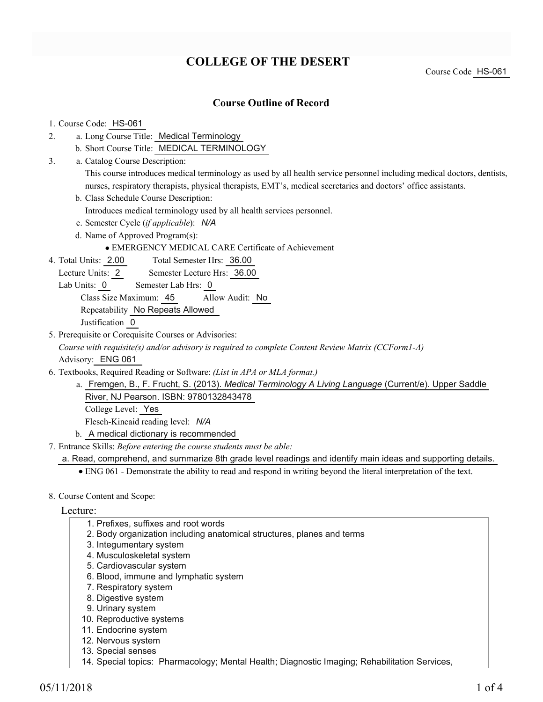# **COLLEGE OF THE DESERT**

Course Code HS-061

## **Course Outline of Record**

#### 1. Course Code: HS-061

- a. Long Course Title: Medical Terminology 2.
	- b. Short Course Title: MEDICAL TERMINOLOGY
- Catalog Course Description: a. 3.

This course introduces medical terminology as used by all health service personnel including medical doctors, dentists, nurses, respiratory therapists, physical therapists, EMT's, medical secretaries and doctors' office assistants.

b. Class Schedule Course Description:

Introduces medical terminology used by all health services personnel.

- c. Semester Cycle (*if applicable*): *N/A*
- d. Name of Approved Program(s):

EMERGENCY MEDICAL CARE Certificate of Achievement

- Total Semester Hrs: 36.00 4. Total Units: 2.00
	- Lecture Units: 2 Semester Lecture Hrs: 36.00
	- Lab Units: 0 Semester Lab Hrs: 0
		- Class Size Maximum: 45 Allow Audit: No
		- Repeatability No Repeats Allowed

Justification 0

- 5. Prerequisite or Corequisite Courses or Advisories:
- *Course with requisite(s) and/or advisory is required to complete Content Review Matrix (CCForm1-A)* Advisory: ENG 061
- Textbooks, Required Reading or Software: *(List in APA or MLA format.)* 6.
	- a. Fremgen, B., F. Frucht, S. (2013). *Medical Terminology A Living Language* (Current/e). Upper Saddle River, NJ Pearson. ISBN: 9780132843478

College Level: Yes

Flesch-Kincaid reading level: *N/A*

- b. A medical dictionary is recommended
- Entrance Skills: *Before entering the course students must be able:* 7.

a. Read, comprehend, and summarize 8th grade level readings and identify main ideas and supporting details.

ENG 061 - Demonstrate the ability to read and respond in writing beyond the literal interpretation of the text.

### 8. Course Content and Scope:

#### Lecture:

- 1. Prefixes, suffixes and root words
- 2. Body organization including anatomical structures, planes and terms
- 3. Integumentary system
- 4. Musculoskeletal system
- 5. Cardiovascular system
- 6. Blood, immune and lymphatic system
- 7. Respiratory system
- 8. Digestive system
- 9. Urinary system
- 10. Reproductive systems
- 11. Endocrine system
- 12. Nervous system
- 13. Special senses
- 14. Special topics: Pharmacology; Mental Health; Diagnostic Imaging; Rehabilitation Services,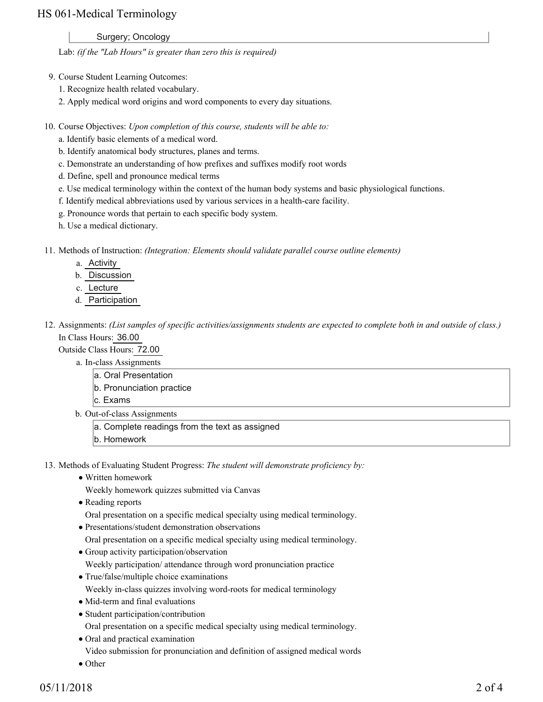## HS 061-Medical Terminology

Surgery; Oncology

Lab: *(if the "Lab Hours" is greater than zero this is required)*

- 9. Course Student Learning Outcomes:
	- 1. Recognize health related vocabulary.
	- 2. Apply medical word origins and word components to every day situations.
- 10. Course Objectives: Upon completion of this course, students will be able to:
	- a. Identify basic elements of a medical word.
	- b. Identify anatomical body structures, planes and terms.
	- c. Demonstrate an understanding of how prefixes and suffixes modify root words
	- d. Define, spell and pronounce medical terms
	- e. Use medical terminology within the context of the human body systems and basic physiological functions.
	- f. Identify medical abbreviations used by various services in a health-care facility.
	- g. Pronounce words that pertain to each specific body system.
	- h. Use a medical dictionary.
- 11. Methods of Instruction: *(Integration: Elements should validate parallel course outline elements)* 
	- a. Activity
	- b. Discussion
	- c. Lecture
	- d. Participation
- 12. Assignments: (List samples of specific activities/assignments students are expected to complete both in and outside of class.) In Class Hours: 36.00

Outside Class Hours: 72.00

- a. In-class Assignments
	- a. Oral Presentation
	- b. Pronunciation practice
	- c. Exams
- b. Out-of-class Assignments
	- a. Complete readings from the text as assigned
	- b. Homework
- 13. Methods of Evaluating Student Progress: The student will demonstrate proficiency by:
	- Written homework
		- Weekly homework quizzes submitted via Canvas
	- Reading reports
		- Oral presentation on a specific medical specialty using medical terminology.
	- Presentations/student demonstration observations
	- Oral presentation on a specific medical specialty using medical terminology.
	- Group activity participation/observation Weekly participation/ attendance through word pronunciation practice
	- True/false/multiple choice examinations
		- Weekly in-class quizzes involving word-roots for medical terminology
	- Mid-term and final evaluations
	- Student participation/contribution
		- Oral presentation on a specific medical specialty using medical terminology.
	- Oral and practical examination
		- Video submission for pronunciation and definition of assigned medical words
	- Other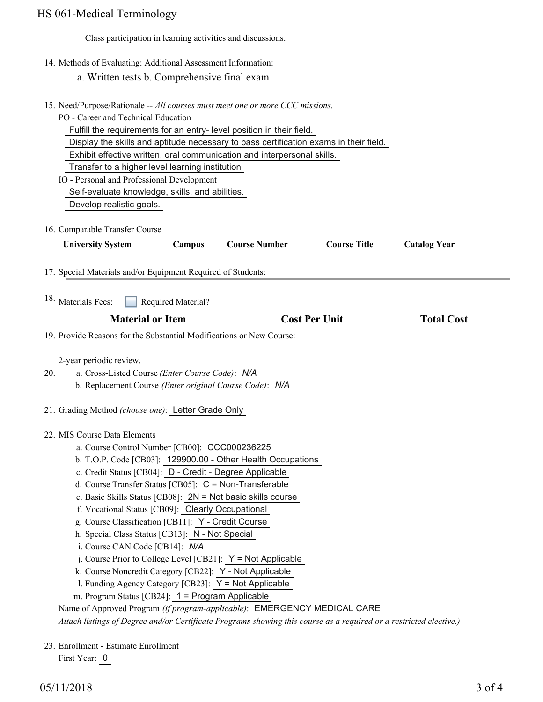# Class participation in learning activities and discussions. 14. Methods of Evaluating: Additional Assessment Information: a. Written tests b. Comprehensive final exam 15. Need/Purpose/Rationale -- All courses must meet one or more CCC missions. PO - Career and Technical Education Fulfill the requirements for an entry- level position in their field. Display the skills and aptitude necessary to pass certification exams in their field. Exhibit effective written, oral communication and interpersonal skills. Transfer to a higher level learning institution IO - Personal and Professional Development Self-evaluate knowledge, skills, and abilities. Develop realistic goals. 16. Comparable Transfer Course **University System Campus Course Number Course Title Catalog Year** 17. Special Materials and/or Equipment Required of Students: Required Material? **Material or Item Cost Per Unit Total Cost**  18. Materials Fees: 19. Provide Reasons for the Substantial Modifications or New Course: 2-year periodic review. a. Cross-Listed Course *(Enter Course Code)*: *N/A* b. Replacement Course *(Enter original Course Code)*: *N/A* 20. 21. Grading Method *(choose one)*: Letter Grade Only MIS Course Data Elements 22. HS 061-Medical Terminology

- a. Course Control Number [CB00]: CCC000236225
- b. T.O.P. Code [CB03]: 129900.00 Other Health Occupations
- c. Credit Status [CB04]: D Credit Degree Applicable
- d. Course Transfer Status [CB05]: C = Non-Transferable
- e. Basic Skills Status [CB08]: 2N = Not basic skills course
- f. Vocational Status [CB09]: Clearly Occupational
- g. Course Classification [CB11]: Y Credit Course
- h. Special Class Status [CB13]: N Not Special
- i. Course CAN Code [CB14]: *N/A*
- $i$ . Course Prior to College Level [CB21]:  $Y = Not$  Applicable
- k. Course Noncredit Category [CB22]: Y Not Applicable
- 1. Funding Agency Category  $[CB23]$ :  $Y = Not Applicable$
- m. Program Status [CB24]: 1 = Program Applicable

Name of Approved Program *(if program-applicable)*: EMERGENCY MEDICAL CARE

*Attach listings of Degree and/or Certificate Programs showing this course as a required or a restricted elective.)*

23. Enrollment - Estimate Enrollment First Year: 0